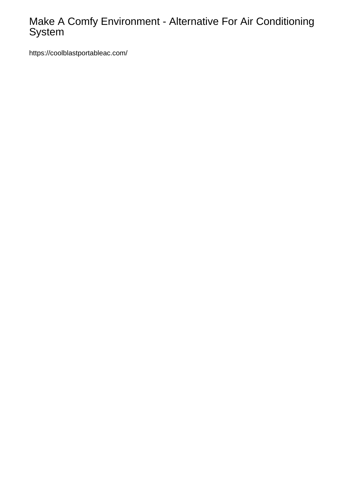## Make A Comfy Environment - Alternative For Air Conditioning System

<https://coolblastportableac.com/>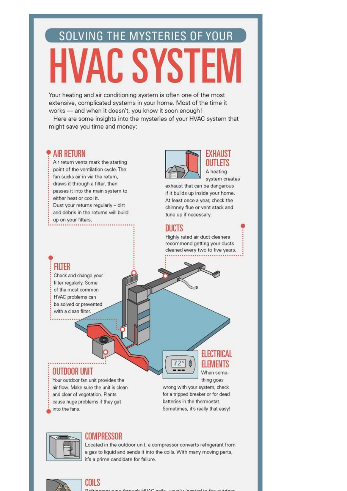# **SOLVING THE MYSTERIES OF YOUR HVAC SYST**

Your heating and air conditioning system is often one of the most extensive, complicated systems in your home. Most of the time it works - and when it doesn't, you know it soon enough!

Here are some insights into the mysteries of your HVAC system that might save you time and money:

#### **AIR RETURN**

Air return vents mark the starting point of the ventilation cycle. The fan sucks air in via the return. draws it through a filter, then passes it into the main system to either heat or cool it. Dust your returns regularly - dirt and debris in the returns will build





EXHAUST OUTLETS A heating system creates

exhaust that can be dangerous if it builds up inside your home. At least once a year, check the chimney flue or vent stack and tune up if necessary.

#### DUCTS

Highly rated air duct cleaners recommend getting your ducts cleaned every two to five years.

# Check and change your

**FIITER** 

filter regularly. Some of the most common HVAC problems can be solved or prevented with a clean filter.

### **OUTDOOR UNIT**

Your outdoor fan unit provides the air flow. Make sure the unit is clean and clear of vegetation. Plants cause huge problems if they get into the fans.



wrong with your system, check for a tripped breaker or for dead batteries in the thermostat. Sometimes, it's really that easy!



#### **COMPRESSOR**

Located in the outdoor unit, a compressor converts refrigerant from a gas to liquid and sends it into the coils. With many moving parts, it's a prime candidate for failure.